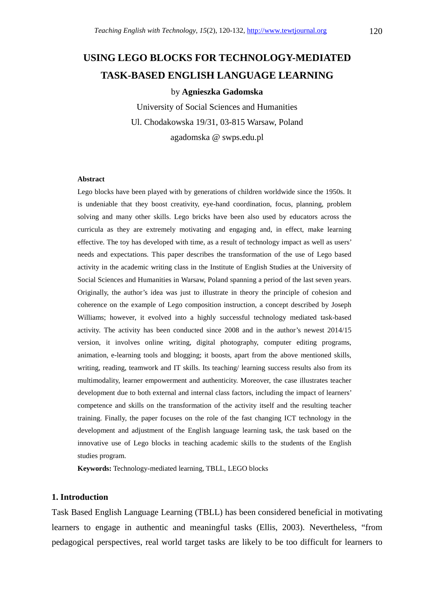# **USING LEGO BLOCKS FOR TECHNOLOGY-MEDIATED TASK-BASED ENGLISH LANGUAGE LEARNING**

#### by **Agnieszka Gadomska**

University of Social Sciences and Humanities Ul. Chodakowska 19/31, 03-815 Warsaw, Poland agadomska @ swps.edu.pl

#### **Abstract**

Lego blocks have been played with by generations of children worldwide since the 1950s. It is undeniable that they boost creativity, eye-hand coordination, focus, planning, problem solving and many other skills. Lego bricks have been also used by educators across the curricula as they are extremely motivating and engaging and, in effect, make learning effective. The toy has developed with time, as a result of technology impact as well as users' needs and expectations. This paper describes the transformation of the use of Lego based activity in the academic writing class in the Institute of English Studies at the University of Social Sciences and Humanities in Warsaw, Poland spanning a period of the last seven years. Originally, the author's idea was just to illustrate in theory the principle of cohesion and coherence on the example of Lego composition instruction, a concept described by Joseph Williams; however, it evolved into a highly successful technology mediated task-based activity. The activity has been conducted since 2008 and in the author's newest 2014/15 version, it involves online writing, digital photography, computer editing programs, animation, e-learning tools and blogging; it boosts, apart from the above mentioned skills, writing, reading, teamwork and IT skills. Its teaching/ learning success results also from its multimodality, learner empowerment and authenticity. Moreover, the case illustrates teacher development due to both external and internal class factors, including the impact of learners' competence and skills on the transformation of the activity itself and the resulting teacher training. Finally, the paper focuses on the role of the fast changing ICT technology in the development and adjustment of the English language learning task, the task based on the innovative use of Lego blocks in teaching academic skills to the students of the English studies program.

**Keywords:** Technology-mediated learning, TBLL, LEGO blocks

#### **1. Introduction**

Task Based English Language Learning (TBLL) has been considered beneficial in motivating learners to engage in authentic and meaningful tasks (Ellis, 2003). Nevertheless, "from pedagogical perspectives, real world target tasks are likely to be too difficult for learners to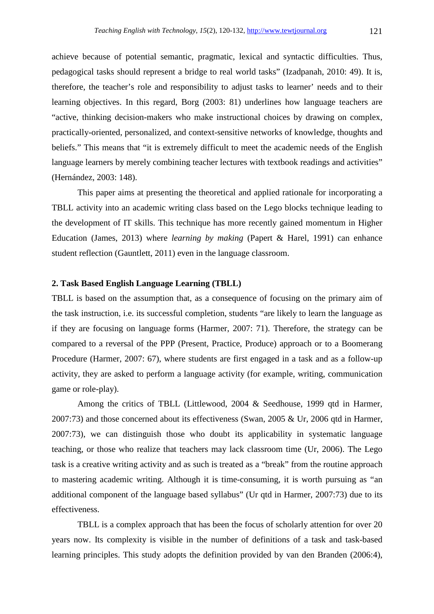achieve because of potential semantic, pragmatic, lexical and syntactic difficulties. Thus, pedagogical tasks should represent a bridge to real world tasks" (Izadpanah, 2010: 49). It is, therefore, the teacher's role and responsibility to adjust tasks to learner' needs and to their learning objectives. In this regard, Borg (2003: 81) underlines how language teachers are "active, thinking decision-makers who make instructional choices by drawing on complex, practically-oriented, personalized, and context-sensitive networks of knowledge, thoughts and beliefs." This means that "it is extremely difficult to meet the academic needs of the English language learners by merely combining teacher lectures with textbook readings and activities" (Hernández, 2003: 148).

 This paper aims at presenting the theoretical and applied rationale for incorporating a TBLL activity into an academic writing class based on the Lego blocks technique leading to the development of IT skills. This technique has more recently gained momentum in Higher Education (James, 2013) where *learning by making* (Papert & Harel, 1991) can enhance student reflection (Gauntlett, 2011) even in the language classroom.

### **2. Task Based English Language Learning (TBLL)**

TBLL is based on the assumption that, as a consequence of focusing on the primary aim of the task instruction, i.e. its successful completion, students "are likely to learn the language as if they are focusing on language forms (Harmer, 2007: 71). Therefore, the strategy can be compared to a reversal of the PPP (Present, Practice, Produce) approach or to a Boomerang Procedure (Harmer, 2007: 67), where students are first engaged in a task and as a follow-up activity, they are asked to perform a language activity (for example, writing, communication game or role-play).

 Among the critics of TBLL (Littlewood, 2004 & Seedhouse, 1999 qtd in Harmer, 2007:73) and those concerned about its effectiveness (Swan, 2005 & Ur, 2006 qtd in Harmer, 2007:73), we can distinguish those who doubt its applicability in systematic language teaching, or those who realize that teachers may lack classroom time (Ur, 2006). The Lego task is a creative writing activity and as such is treated as a "break" from the routine approach to mastering academic writing. Although it is time-consuming, it is worth pursuing as "an additional component of the language based syllabus" (Ur qtd in Harmer, 2007:73) due to its effectiveness.

 TBLL is a complex approach that has been the focus of scholarly attention for over 20 years now. Its complexity is visible in the number of definitions of a task and task-based learning principles. This study adopts the definition provided by van den Branden (2006:4),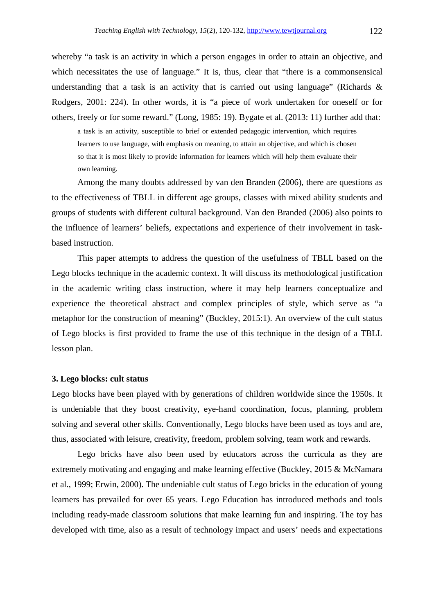whereby "a task is an activity in which a person engages in order to attain an objective, and which necessitates the use of language." It is, thus, clear that "there is a commonsensical understanding that a task is an activity that is carried out using language" (Richards  $\&$ Rodgers, 2001: 224). In other words, it is "a piece of work undertaken for oneself or for others, freely or for some reward." (Long, 1985: 19). Bygate et al. (2013: 11) further add that:

a task is an activity, susceptible to brief or extended pedagogic intervention, which requires learners to use language, with emphasis on meaning, to attain an objective, and which is chosen so that it is most likely to provide information for learners which will help them evaluate their own learning.

 Among the many doubts addressed by van den Branden (2006), there are questions as to the effectiveness of TBLL in different age groups, classes with mixed ability students and groups of students with different cultural background. Van den Branded (2006) also points to the influence of learners' beliefs, expectations and experience of their involvement in taskbased instruction.

 This paper attempts to address the question of the usefulness of TBLL based on the Lego blocks technique in the academic context. It will discuss its methodological justification in the academic writing class instruction, where it may help learners conceptualize and experience the theoretical abstract and complex principles of style, which serve as "a metaphor for the construction of meaning" (Buckley, 2015:1). An overview of the cult status of Lego blocks is first provided to frame the use of this technique in the design of a TBLL lesson plan.

#### **3. Lego blocks: cult status**

Lego blocks have been played with by generations of children worldwide since the 1950s. It is undeniable that they boost creativity, eye-hand coordination, focus, planning, problem solving and several other skills. Conventionally, Lego blocks have been used as toys and are, thus, associated with leisure, creativity, freedom, problem solving, team work and rewards.

 Lego bricks have also been used by educators across the curricula as they are extremely motivating and engaging and make learning effective (Buckley, 2015 & McNamara et al., 1999; Erwin, 2000). The undeniable cult status of Lego bricks in the education of young learners has prevailed for over 65 years. Lego Education has introduced methods and tools including ready-made classroom solutions that make learning fun and inspiring. The toy has developed with time, also as a result of technology impact and users' needs and expectations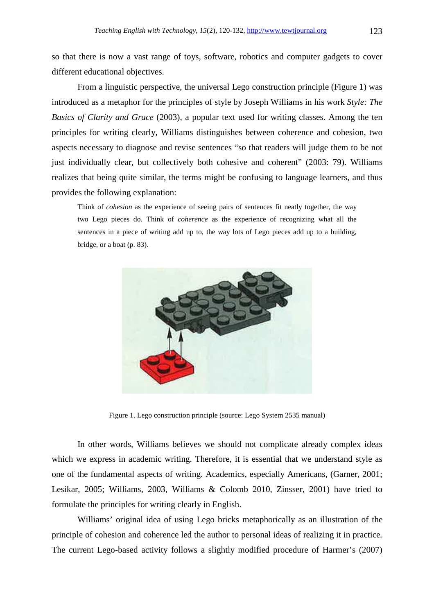so that there is now a vast range of toys, software, robotics and computer gadgets to cover different educational objectives.

 From a linguistic perspective, the universal Lego construction principle (Figure 1) was introduced as a metaphor for the principles of style by Joseph Williams in his work *Style: The Basics of Clarity and Grace* (2003), a popular text used for writing classes. Among the ten principles for writing clearly, Williams distinguishes between coherence and cohesion, two aspects necessary to diagnose and revise sentences "so that readers will judge them to be not just individually clear, but collectively both cohesive and coherent" (2003: 79). Williams realizes that being quite similar, the terms might be confusing to language learners, and thus provides the following explanation:

Think of *cohesion* as the experience of seeing pairs of sentences fit neatly together, the way two Lego pieces do. Think of *coherence* as the experience of recognizing what all the sentences in a piece of writing add up to, the way lots of Lego pieces add up to a building, bridge, or a boat (p. 83).



Figure 1. Lego construction principle (source: Lego System 2535 manual)

 In other words, Williams believes we should not complicate already complex ideas which we express in academic writing. Therefore, it is essential that we understand style as one of the fundamental aspects of writing. Academics, especially Americans, (Garner, 2001; Lesikar, 2005; Williams, 2003, Williams & Colomb 2010, Zinsser, 2001) have tried to formulate the principles for writing clearly in English.

 Williams' original idea of using Lego bricks metaphorically as an illustration of the principle of cohesion and coherence led the author to personal ideas of realizing it in practice*.*  The current Lego-based activity follows a slightly modified procedure of Harmer's (2007)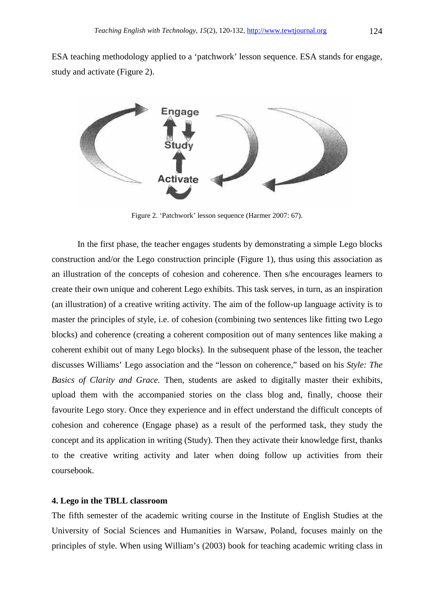ESA teaching methodology applied to a 'patchwork' lesson sequence. ESA stands for engage, study and activate (Figure 2).



Figure 2. 'Patchwork' lesson sequence (Harmer 2007: 67).

 In the first phase, the teacher engages students by demonstrating a simple Lego blocks construction and/or the Lego construction principle (Figure 1), thus using this association as an illustration of the concepts of cohesion and coherence. Then s/he encourages learners to create their own unique and coherent Lego exhibits. This task serves, in turn, as an inspiration (an illustration) of a creative writing activity. The aim of the follow-up language activity is to master the principles of style, i.e. of cohesion (combining two sentences like fitting two Lego blocks) and coherence (creating a coherent composition out of many sentences like making a coherent exhibit out of many Lego blocks). In the subsequent phase of the lesson, the teacher discusses Williams' Lego association and the "lesson on coherence," based on his *Style: The Basics of Clarity and Grace.* Then, students are asked to digitally master their exhibits, upload them with the accompanied stories on the class blog and, finally, choose their favourite Lego story. Once they experience and in effect understand the difficult concepts of cohesion and coherence (Engage phase) as a result of the performed task, they study the concept and its application in writing (Study). Then they activate their knowledge first, thanks to the creative writing activity and later when doing follow up activities from their coursebook.

### **4. Lego in the TBLL classroom**

The fifth semester of the academic writing course in the Institute of English Studies at the University of Social Sciences and Humanities in Warsaw, Poland, focuses mainly on the principles of style. When using William's (2003) book for teaching academic writing class in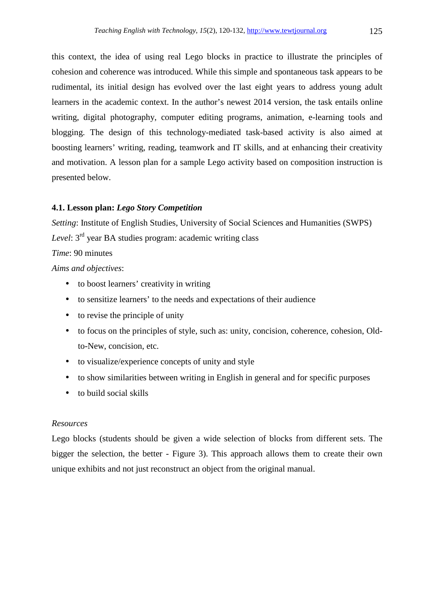this context, the idea of using real Lego blocks in practice to illustrate the principles of cohesion and coherence was introduced. While this simple and spontaneous task appears to be rudimental, its initial design has evolved over the last eight years to address young adult learners in the academic context. In the author's newest 2014 version, the task entails online writing, digital photography, computer editing programs, animation, e-learning tools and blogging. The design of this technology-mediated task-based activity is also aimed at boosting learners' writing, reading, teamwork and IT skills, and at enhancing their creativity and motivation. A lesson plan for a sample Lego activity based on composition instruction is presented below.

#### **4.1. Lesson plan:** *Lego Story Competition*

*Setting*: Institute of English Studies, University of Social Sciences and Humanities (SWPS) *Level*: 3rd year BA studies program: academic writing class *Time*: 90 minutes

*Aims and objectives*:

- to boost learners' creativity in writing
- to sensitize learners' to the needs and expectations of their audience
- to revise the principle of unity
- to focus on the principles of style, such as: unity, concision, coherence, cohesion, Oldto-New, concision, etc.
- to visualize/experience concepts of unity and style
- to show similarities between writing in English in general and for specific purposes
- to build social skills

#### *Resources*

Lego blocks (students should be given a wide selection of blocks from different sets. The bigger the selection, the better - Figure 3). This approach allows them to create their own unique exhibits and not just reconstruct an object from the original manual.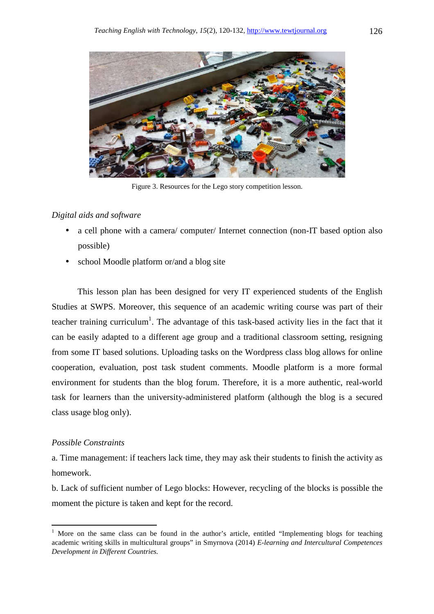

Figure 3. Resources for the Lego story competition lesson.

### *Digital aids and software*

- a cell phone with a camera/ computer/ Internet connection (non-IT based option also possible)
- school Moodle platform or/and a blog site

 This lesson plan has been designed for very IT experienced students of the English Studies at SWPS. Moreover, this sequence of an academic writing course was part of their teacher training curriculum<sup>1</sup>. The advantage of this task-based activity lies in the fact that it can be easily adapted to a different age group and a traditional classroom setting, resigning from some IT based solutions. Uploading tasks on the Wordpress class blog allows for online cooperation, evaluation, post task student comments. Moodle platform is a more formal environment for students than the blog forum. Therefore, it is a more authentic, real-world task for learners than the university-administered platform (although the blog is a secured class usage blog only).

### *Possible Constraints*

֬֒

a. Time management: if teachers lack time, they may ask their students to finish the activity as homework.

b. Lack of sufficient number of Lego blocks: However, recycling of the blocks is possible the moment the picture is taken and kept for the record.

<sup>&</sup>lt;sup>1</sup> More on the same class can be found in the author's article, entitled "Implementing blogs for teaching academic writing skills in multicultural groups" in Smyrnova (2014) *E-learning and Intercultural Competences Development in Different Countries.*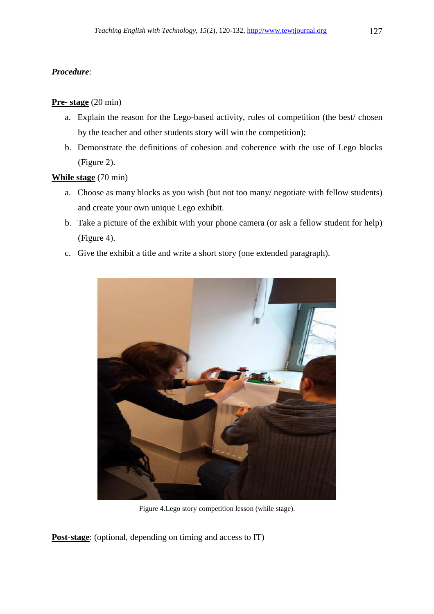# *Procedure*:

### **Pre- stage** (20 min)

- a. Explain the reason for the Lego-based activity, rules of competition (the best/ chosen by the teacher and other students story will win the competition);
- b. Demonstrate the definitions of cohesion and coherence with the use of Lego blocks (Figure 2).

# **While stage** (70 min)

- a. Choose as many blocks as you wish (but not too many/ negotiate with fellow students) and create your own unique Lego exhibit.
- b. Take a picture of the exhibit with your phone camera (or ask a fellow student for help) (Figure 4).
- c. Give the exhibit a title and write a short story (one extended paragraph).



Figure 4.Lego story competition lesson (while stage).

**Post-stage**: (optional, depending on timing and access to IT)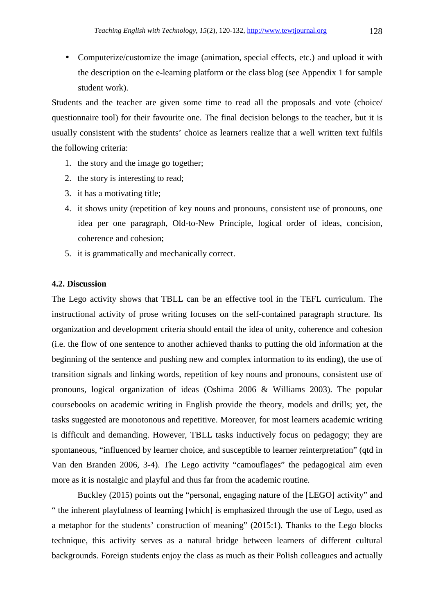• Computerize/customize the image (animation, special effects, etc.) and upload it with the description on the e-learning platform or the class blog (see Appendix 1 for sample student work).

Students and the teacher are given some time to read all the proposals and vote (choice/ questionnaire tool) for their favourite one. The final decision belongs to the teacher, but it is usually consistent with the students' choice as learners realize that a well written text fulfils the following criteria:

- 1. the story and the image go together;
- 2. the story is interesting to read;
- 3. it has a motivating title;
- 4. it shows unity (repetition of key nouns and pronouns, consistent use of pronouns, one idea per one paragraph, Old-to-New Principle, logical order of ideas, concision, coherence and cohesion;
- 5. it is grammatically and mechanically correct.

### **4.2. Discussion**

The Lego activity shows that TBLL can be an effective tool in the TEFL curriculum. The instructional activity of prose writing focuses on the self-contained paragraph structure. Its organization and development criteria should entail the idea of unity, coherence and cohesion (i.e. the flow of one sentence to another achieved thanks to putting the old information at the beginning of the sentence and pushing new and complex information to its ending), the use of transition signals and linking words, repetition of key nouns and pronouns, consistent use of pronouns, logical organization of ideas (Oshima 2006 & Williams 2003). The popular coursebooks on academic writing in English provide the theory, models and drills; yet, the tasks suggested are monotonous and repetitive. Moreover, for most learners academic writing is difficult and demanding. However, TBLL tasks inductively focus on pedagogy; they are spontaneous, "influenced by learner choice, and susceptible to learner reinterpretation" (qtd in Van den Branden 2006, 3-4). The Lego activity "camouflages" the pedagogical aim even more as it is nostalgic and playful and thus far from the academic routine.

 Buckley (2015) points out the "personal, engaging nature of the [LEGO] activity" and " the inherent playfulness of learning [which] is emphasized through the use of Lego, used as a metaphor for the students' construction of meaning" (2015:1). Thanks to the Lego blocks technique, this activity serves as a natural bridge between learners of different cultural backgrounds. Foreign students enjoy the class as much as their Polish colleagues and actually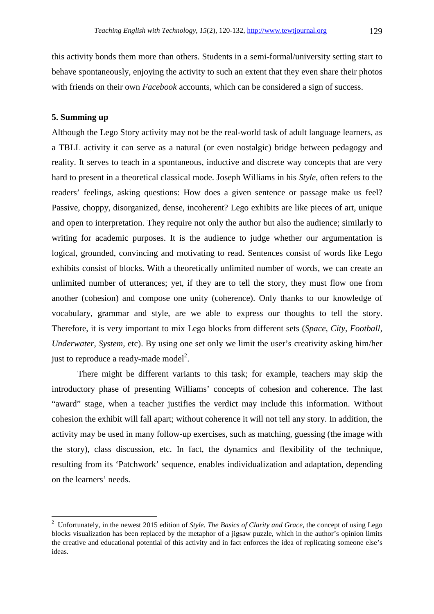this activity bonds them more than others. Students in a semi-formal/university setting start to behave spontaneously, enjoying the activity to such an extent that they even share their photos with friends on their own *Facebook* accounts, which can be considered a sign of success.

### **5. Summing up**

 $\overline{a}$ 

Although the Lego Story activity may not be the real-world task of adult language learners, as a TBLL activity it can serve as a natural (or even nostalgic) bridge between pedagogy and reality. It serves to teach in a spontaneous, inductive and discrete way concepts that are very hard to present in a theoretical classical mode. Joseph Williams in his *Style*, often refers to the readers' feelings, asking questions: How does a given sentence or passage make us feel? Passive, choppy, disorganized, dense, incoherent? Lego exhibits are like pieces of art, unique and open to interpretation. They require not only the author but also the audience; similarly to writing for academic purposes. It is the audience to judge whether our argumentation is logical, grounded, convincing and motivating to read. Sentences consist of words like Lego exhibits consist of blocks. With a theoretically unlimited number of words, we can create an unlimited number of utterances; yet, if they are to tell the story, they must flow one from another (cohesion) and compose one unity (coherence). Only thanks to our knowledge of vocabulary, grammar and style, are we able to express our thoughts to tell the story. Therefore, it is very important to mix Lego blocks from different sets (*Space, City, Football, Underwater, System,* etc). By using one set only we limit the user's creativity asking him/her just to reproduce a ready-made model<sup>2</sup>.

 There might be different variants to this task; for example, teachers may skip the introductory phase of presenting Williams' concepts of cohesion and coherence. The last "award" stage, when a teacher justifies the verdict may include this information. Without cohesion the exhibit will fall apart; without coherence it will not tell any story. In addition, the activity may be used in many follow-up exercises, such as matching, guessing (the image with the story), class discussion, etc. In fact, the dynamics and flexibility of the technique, resulting from its 'Patchwork' sequence, enables individualization and adaptation, depending on the learners' needs.

<sup>2</sup> Unfortunately, in the newest 2015 edition of *Style. The Basics of Clarity and Grace*, the concept of using Lego blocks visualization has been replaced by the metaphor of a jigsaw puzzle, which in the author's opinion limits the creative and educational potential of this activity and in fact enforces the idea of replicating someone else's ideas.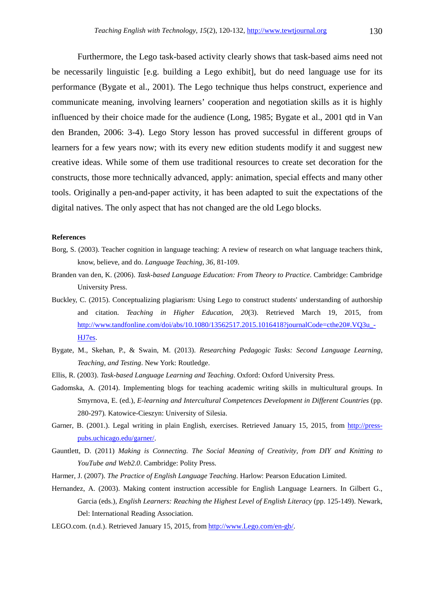Furthermore, the Lego task-based activity clearly shows that task-based aims need not be necessarily linguistic [e.g. building a Lego exhibit], but do need language use for its performance (Bygate et al., 2001). The Lego technique thus helps construct, experience and communicate meaning, involving learners' cooperation and negotiation skills as it is highly influenced by their choice made for the audience (Long, 1985; Bygate et al., 2001 qtd in Van den Branden, 2006: 3-4). Lego Story lesson has proved successful in different groups of learners for a few years now; with its every new edition students modify it and suggest new creative ideas. While some of them use traditional resources to create set decoration for the constructs, those more technically advanced, apply: animation, special effects and many other tools. Originally a pen-and-paper activity, it has been adapted to suit the expectations of the digital natives. The only aspect that has not changed are the old Lego blocks.

#### **References**

- Borg, S. (2003). Teacher cognition in language teaching: A review of research on what language teachers think, know, believe, and do. *Language Teaching*, *36*, 81-109.
- Branden van den, K. (2006). *Task-based Language Education: From Theory to Practice*. Cambridge: Cambridge University Press.
- Buckley, C. (2015). Conceptualizing plagiarism: Using Lego to construct students' understanding of authorship and citation. *Teaching in Higher Education, 20*(3). Retrieved March 19, 2015, from http://www.tandfonline.com/doi/abs/10.1080/13562517.2015.1016418?journalCode=cthe20#.VO3u -HJ7es.
- Bygate, M., Skehan, P., & Swain, M. (2013). *Researching Pedagogic Tasks: Second Language Learning, Teaching, and Testing*. New York: Routledge.
- Ellis, R. (2003). *Task-based Language Learning and Teaching*. Oxford: Oxford University Press.
- Gadomska, A. (2014). Implementing blogs for teaching academic writing skills in multicultural groups. In Smyrnova, E. (ed.), *E-learning and Intercultural Competences Development in Different Countries* (pp. 280-297)*.* Katowice-Cieszyn: University of Silesia.
- Garner, B. (2001.). Legal writing in plain English, exercises. Retrieved January 15, 2015, from http://presspubs.uchicago.edu/garner/.
- Gauntlett, D. (2011) *Making is Connecting. The Social Meaning of Creativity, from DIY and Knitting to YouTube and Web2.0*. Cambridge: Polity Press.
- Harmer, J. (2007). *The Practice of English Language Teaching*. Harlow: Pearson Education Limited.
- Hernandez, A. (2003). Making content instruction accessible for English Language Learners. In Gilbert G., Garcia (eds.), *English Learners: Reaching the Highest Level of English Literacy* (pp. 125-149). Newark, Del: International Reading Association.
- LEGO.com. (n.d.). Retrieved January 15, 2015, from http://www.Lego.com/en-gb/.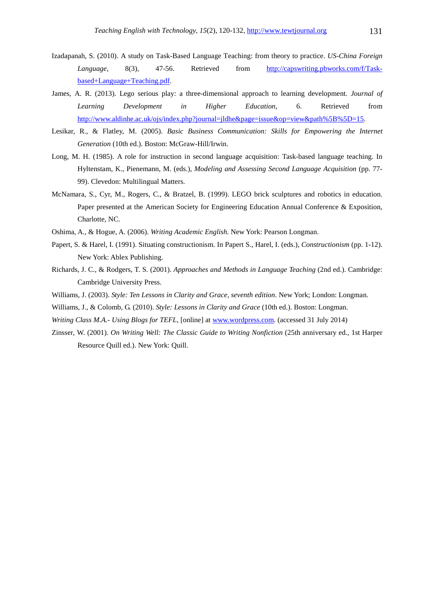- Izadapanah, S. (2010). A study on Task-Based Language Teaching: from theory to practice. *US-China Foreign Language*, 8(3), 47-56. Retrieved from http://capswriting.pbworks.com/f/Taskbased+Language+Teaching.pdf.
- James, A. R. (2013). Lego serious play: a three-dimensional approach to learning development. *Journal of Learning Development in Higher Education*, 6. Retrieved from http://www.aldinhe.ac.uk/ojs/index.php?journal=jldhe&page=issue&op=view&path%5B%5D=15.
- Lesikar, R., & Flatley, M. (2005). *Basic Business Communication: Skills for Empowering the Internet Generation* (10th ed.). Boston: McGraw-Hill/Irwin.
- Long, M. H. (1985). A role for instruction in second language acquisition: Task-based language teaching. In Hyltenstam, K., Pienemann, M. (eds.), *Modeling and Assessing Second Language Acquisition* (pp. 77- 99). Clevedon: Multilingual Matters.
- McNamara, S., Cyr, M., Rogers, C., & Bratzel, B. (1999). LEGO brick sculptures and robotics in education. Paper presented at the American Society for Engineering Education Annual Conference & Exposition, Charlotte, NC.
- Oshima, A., & Hogue, A. (2006). *Writing Academic English*. New York: Pearson Longman.
- Papert, S. & Harel, I. (1991). Situating constructionism. In Papert S., Harel, I. (eds.), *Constructionism* (pp. 1-12). New York: Ablex Publishing.
- Richards, J. C., & Rodgers, T. S. (2001). *Approaches and Methods in Language Teaching* (2nd ed.). Cambridge: Cambridge University Press.
- Williams, J. (2003). *Style: Ten Lessons in Clarity and Grace, seventh edition*. New York; London: Longman.
- Williams, J., & Colomb, G. (2010). *Style: Lessons in Clarity and Grace* (10th ed.). Boston: Longman.
- *Writing Class M.A.- Using Blogs for TEFL*, [online] at www.wordpress.com. (accessed 31 July 2014)
- Zinsser, W. (2001). *On Writing Well: The Classic Guide to Writing Nonfiction* (25th anniversary ed., 1st Harper Resource Quill ed.). New York: Quill.